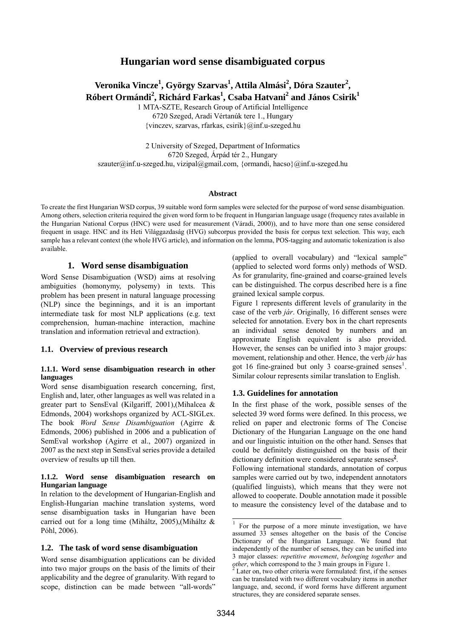# **Hungarian word sense disambiguated corpus**

# $\bf$  Veronika Vincze $^1$ , György Szarvas $^1$ , Attila Almási $^2$ , Dóra Szauter $^2$ , **Róbert Ormándi<sup>2</sup> , Richárd Farkas<sup>1</sup> , Csaba Hatvani2 and János Csirik<sup>1</sup>**

1 MTA-SZTE, Research Group of Artificial Intelligence 6720 Szeged, Aradi Vértanúk tere 1., Hungary {vinczev, szarvas, rfarkas, csirik}@inf.u-szeged.hu

2 University of Szeged, Department of Informatics 6720 Szeged, Árpád tér 2., Hungary szauter@inf.u-szeged.hu, [vizipal@gmail.com](mailto:vizipal@gmail.com), {ormandi, hacso}@inf.u-szeged.hu

#### **Abstract**

To create the first Hungarian WSD corpus, 39 suitable word form samples were selected for the purpose of word sense disambiguation. Among others, selection criteria required the given word form to be frequent in Hungarian language usage (frequency rates available in the Hungarian National Corpus (HNC) were used for measurement (Váradi, 2000)), and to have more than one sense considered frequent in usage. HNC and its Heti Világgazdaság (HVG) subcorpus provided the basis for corpus text selection. This way, each sample has a relevant context (the whole HVG article), and information on the lemma, POS-tagging and automatic tokenization is also available.

## **1. Word sense disambiguation**

Word Sense Disambiguation (WSD) aims at resolving ambiguities (homonymy, polysemy) in texts. This problem has been present in natural language processing (NLP) since the beginnings, and it is an important intermediate task for most NLP applications (e.g. text comprehension, human-machine interaction, machine translation and information retrieval and extraction).

## **1.1. Overview of previous research**

#### **1.1.1. Word sense disambiguation research in other languages**

Word sense disambiguation research concerning, first, English and, later, other languages as well was related in a greater part to SensEval (Kilgariff, 2001),(Mihalcea & Edmonds, 2004) workshops organized by ACL-SIGLex. The book *Word Sense Disambiguation* (Agirre & Edmonds, 2006) published in 2006 and a publication of SemEval workshop (Agirre et al., 2007) organized in 2007 as the next step in SensEval series provide a detailed overview of results up till then.

#### **1.1.2. Word sense disambiguation research on Hungarian language**

In relation to the development of Hungarian-English and English-Hungarian machine translation systems, word sense disambiguation tasks in Hungarian have been carried out for a long time (Miháltz, 2005),(Miháltz & Póhl, 2006).

## **1.2. The task of word sense disambiguation**

Word sense disambiguation applications can be divided into two major groups on the basis of the limits of their applicability and the degree of granularity. With regard to scope, distinction can be made between "all-words"

(applied to overall vocabulary) and "lexical sample" (applied to selected word forms only) methods of WSD. As for granularity, fine-grained and coarse-grained levels can be distinguished. The corpus described here is a fine grained lexical sample corpus.

Figure 1 represents different levels of granularity in the case of the verb *jár*. Originally, 16 different senses were selected for annotation. Every box in the chart represents an individual sense denoted by numbers and an approximate English equivalent is also provided. However, the senses can be unified into 3 major groups: movement, relationship and other. Hence, the verb *jár* has got 16 fine-grained but only 3 coarse-grained senses<sup>1</sup>. Similar colour represents similar translation to English.

## **1.3. Guidelines for annotation**

In the first phase of the work, possible senses of the selected 39 word forms were defined. In this process, we relied on paper and electronic forms of The Concise Dictionary of the Hungarian Language on the one hand and our linguistic intuition on the other hand. Senses that could be definitely distinguished on the basis of their dictionary definition were considered separate senses**[2](#page-0-1)** .

Following international standards, annotation of corpus samples were carried out by two, independent annotators (qualified linguists), which means that they were not allowed to cooperate. Double annotation made it possible to measure the consistency level of the database and to

j

<span id="page-0-0"></span><sup>1</sup> For the purpose of a more minute investigation, we have assumed 33 senses altogether on the basis of the Concise Dictionary of the Hungarian Language. We found that independently of the number of senses, they can be unified into 3 major classes: *repetitive movement*, *belonging together* and *other*, which correspond to the 3 main groups in Figure 1.

<span id="page-0-1"></span>Later on, two other criteria were formulated: first, if the senses can be translated with two different vocabulary items in another language, and, second, if word forms have different argument structures, they are considered separate senses.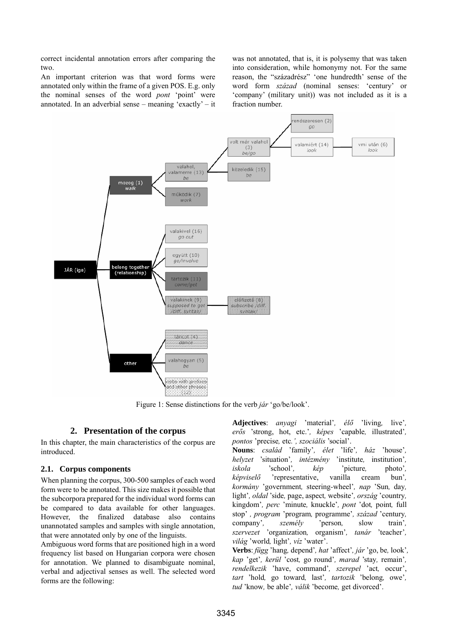correct incidental annotation errors after comparing the two.

An important criterion was that word forms were annotated only within the frame of a given POS. E.g. only the nominal senses of the word *pont* 'point' were annotated. In an adverbial sense – meaning 'exactly' – it

was not annotated, that is, it is polysemy that was taken into consideration, while homonymy not. For the same reason, the "századrész" 'one hundredth' sense of the word form *század* (nominal senses: 'century' or 'company' (military unit)) was not included as it is a fraction number.



Figure 1: Sense distinctions for the verb *jár* 'go/be/look'.

## **2. Presentation of the corpus**

In this chapter, the main characteristics of the corpus are introduced.

## **2.1. Corpus components**

When planning the corpus, 300-500 samples of each word form were to be annotated. This size makes it possible that the subcorpora prepared for the individual word forms can be compared to data available for other languages. However, the finalized database also contains unannotated samples and samples with single annotation, that were annotated only by one of the linguists.

Ambiguous word forms that are positioned high in a word frequency list based on Hungarian corpora were chosen for annotation. We planned to disambiguate nominal, verbal and adjectival senses as well. The selected word forms are the following:

**Adjectives**: *anyagi* 'material'*, élő* 'living*,* live'*, erős* 'strong, hot, etc.'*, képes* 'capable*,* illustrated'*, pontos* 'precise*,* etc*.', szociális* 'social'.

**Nouns**: *család* 'family'*, élet* 'life'*, ház* 'house'*, helyzet* 'situation'*, intézmény* 'institute*,* institution'*, iskola* 'school'*, kép* 'picture*,* photo'*, képviselő* 'representative, vanilla cream bun'*, kormány* 'government*,* steering*-*wheel'*, nap* 'Sun*,* day*,*  light'*, oldal* 'side*,* page, aspect*,* website'*, ország* 'country*,*  kingdom'*, perc* 'minute*,* knuckle'*, pont* 'dot*,* point*,* full stop' *, program* 'program*,* programme'*, század* 'century*,*  company'*, személy* 'person*,* slow train'*, szervezet* 'organization*,* organism'*, tanár* 'teacher'*, világ* 'world*,* light'*, víz* 'water'.

**Verbs**: *függ* 'hang*,* depend'*, hat* 'affect'*, jár* 'go, be*,* look'*, kap* 'get'*, kerül* 'cost*,* go round'*, marad* 'stay*,* remain'*, rendelkezik* 'have, command'*, szerepel* 'act*,* occur', *tart* 'hold*,* go toward*,* last'*, tartozik* 'belong*,* owe'*, tud* 'know*,* be able'*, válik* 'become*,* get divorced'.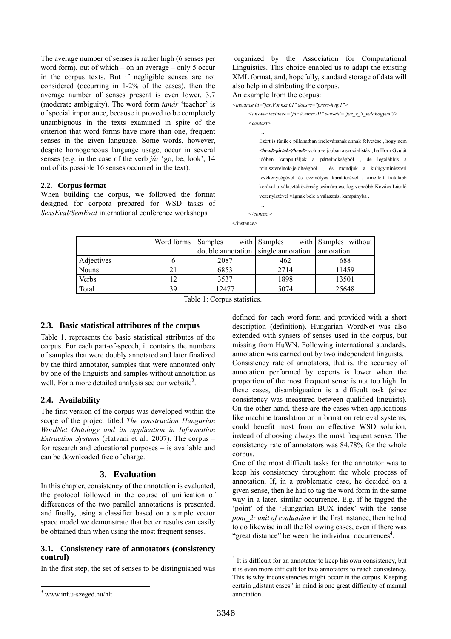The average number of senses is rather high (6 senses per word form), out of which – on an average – only 5 occur in the corpus texts. But if negligible senses are not considered (occurring in 1-2% of the cases), then the average number of senses present is even lower, 3.7 (moderate ambiguity). The word form *tanár* 'teacher' is of special importance, because it proved to be completely unambiguous in the texts examined in spite of the criterion that word forms have more than one, frequent senses in the given language. Some words, however, despite homogeneous language usage, occur in several senses (e.g. in the case of the verb *jár* 'go, be, look', 14 out of its possible 16 senses occurred in the text).

## **2.2. Corpus format**

When building the corpus, we followed the format designed for corpora prepared for WSD tasks of *SensEval/SemEval* international conference workshops

 organized by the Association for Computational Linguistics. This choice enabled us to adapt the existing XML format, and, hopefully, standard storage of data will also help in distributing the corpus.

An example from the corpus:

…

```
<instance id="jár.V.mnsz.01" docsrc="press-hvg.1"> 
<answer instance="jár.V.mnsz.01" senseid="jar_v_5_valahogyan"/>
```
 *<context>* 

Ezért is tűnik e pillanatban irrelevánsnak annak felvetése , hogy nem *<head>jártak</head>* volna -e jobban a szocialisták , ha Horn Gyulát időben katapultálják a pártelnökségből , de legalábbis a miniszterelnök-jelöltségből , és mondjuk a külügyminiszteri tevékenységével és személyes karakterével , amellett fiatalabb korával a választóközönség számára esetleg vonzóbb Kovács László vezényletével vágnak bele a választási kampányba .

…  *</context>*  </instance>

|              | Word forms | Samples                             | with Samples | with Samples without |
|--------------|------------|-------------------------------------|--------------|----------------------|
|              |            | double annotation single annotation |              | annotation           |
| Adjectives   |            | 2087                                | 462          | 688                  |
| <b>Nouns</b> | 21         | 6853                                | 2714         | 11459                |
| Verbs        | 12         | 3537                                | 1898         | 13501                |
| Total        | 39         | 12477                               | 5074         | 25648                |

Table 1: Corpus statistics.

## **2.3. Basic statistical attributes of the corpus**

Table 1. represents the basic statistical attributes of the corpus. For each part-of-speech, it contains the numbers of samples that were doubly annotated and later finalized by the third annotator, samples that were annotated only by one of the linguists and samples without annotation as well. For a more detailed analysis see our website<sup>[3](#page-2-0)</sup>.

## **2.4. Availability**

The first version of the corpus was developed within the scope of the project titled *The construction Hungarian WordNet Ontology and its application in Information Extraction Systems* (Hatvani et al., 2007). The corpus – for research and educational purposes – is available and can be downloaded free of charge.

## **3. Evaluation**

In this chapter, consistency of the annotation is evaluated, the protocol followed in the course of unification of differences of the two parallel annotations is presented, and finally, using a classifier based on a simple vector space model we demonstrate that better results can easily be obtained than when using the most frequent senses.

## **3.1. Consistency rate of annotators (consistency control)**

In the first step, the set of senses to be distinguished was

l

defined for each word form and provided with a short description (definition). Hungarian WordNet was also extended with synsets of senses used in the corpus, but missing from HuWN. Following international standards, annotation was carried out by two independent linguists. Consistency rate of annotators, that is, the accuracy of annotation performed by experts is lower when the proportion of the most frequent sense is not too high. In these cases, disambiguation is a difficult task (since consistency was measured between qualified linguists). On the other hand, these are the cases when applications like machine translation or information retrieval systems, could benefit most from an effective WSD solution, instead of choosing always the most frequent sense. The consistency rate of annotators was 84.78% for the whole corpus.

One of the most difficult tasks for the annotator was to keep his consistency throughout the whole process of annotation. If, in a problematic case, he decided on a given sense, then he had to tag the word form in the same way in a later, similar occurrence. E.g. if he tagged the 'point' of the 'Hungarian BUX index' with the sense *pont* 2: *unit of evaluation* in the first instance, then he had to do likewise in all the following cases, even if there was "great distance" between the individual occurrences $4$ .

l

<span id="page-2-0"></span><sup>3</sup> [www.inf.u-szeged.hu/hlt](http://www.inf.u-szeged.hu/hlt)

<span id="page-2-1"></span> $4$  It is difficult for an annotator to keep his own consistency, but it is even more difficult for two annotators to reach consistency. This is why inconsistencies might occur in the corpus. Keeping certain "distant cases" in mind is one great difficulty of manual annotation.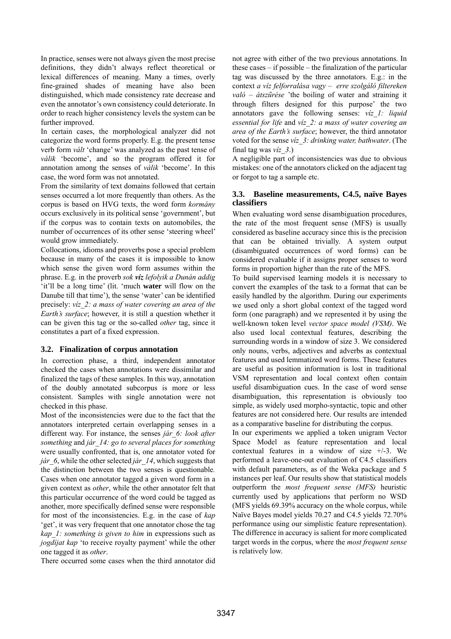In practice, senses were not always given the most precise definitions, they didn't always reflect theoretical or lexical differences of meaning. Many a times, overly fine-grained shades of meaning have also been distinguished, which made consistency rate decrease and even the annotator's own consistency could deteriorate. In order to reach higher consistency levels the system can be further improved.

In certain cases, the morphological analyzer did not categorize the word forms properly. E.g. the present tense verb form *vált* 'change' was analyzed as the past tense of *válik* 'become', and so the program offered it for annotation among the senses of *válik* 'become'. In this case, the word form was not annotated.

From the similarity of text domains followed that certain senses occurred a lot more frequently than others. As the corpus is based on HVG texts, the word form *kormány* occurs exclusively in its political sense 'government', but if the corpus was to contain texts on automobiles, the number of occurrences of its other sense 'steering wheel' would grow immediately.

Collocations, idioms and proverbs pose a special problem because in many of the cases it is impossible to know which sense the given word form assumes within the phrase. E.g. in the proverb *sok víz lefolyik a Dunán addig* 'it'll be a long time' (lit. 'much **water** will flow on the Danube till that time'), the sense 'water' can be identified precisely: *víz\_2: a mass of water covering an area of the Earth's surface*; however, it is still a question whether it can be given this tag or the so-called *other* tag, since it constitutes a part of a fixed expression.

## **3.2. Finalization of corpus annotation**

In correction phase, a third, independent annotator checked the cases when annotations were dissimilar and finalized the tags of these samples. In this way, annotation of the doubly annotated subcorpus is more or less consistent. Samples with single annotation were not checked in this phase.

Most of the inconsistencies were due to the fact that the annotators interpreted certain overlapping senses in a different way. For instance, the senses *jár\_6: look after something* and *jár\_14: go to several places for something* were usually confronted, that is, one annotator voted for *jár* 6, while the other selected *jár* 14, which suggests that the distinction between the two senses is questionable*.* Cases when one annotator tagged a given word form in a given context as *other*, while the other annotator felt that this particular occurrence of the word could be tagged as another, more specifically defined sense were responsible for most of the inconsistencies. E.g. in the case of *kap* 'get', it was very frequent that one annotator chose the tag *kap\_1: something is given to him* in expressions such as *jogdíjat kap* 'to receive royalty payment' while the other one tagged it as *other*.

There occurred some cases when the third annotator did

not agree with either of the two previous annotations. In these cases – if possible – the finalization of the particular tag was discussed by the three annotators. E.g.: in the context *a víz felforralása vagy – erre szolgáló filtereken való – átszűrése* 'the boiling of water and straining it through filters designed for this purpose' the two annotators gave the following senses: *víz\_1: liquid essential for life* and *víz\_2: a mass of water covering an area of the Earth's surface*; however, the third annotator voted for the sense *víz\_3: drinking water, bathwater*. (The final tag was *víz\_3*.)

A negligible part of inconsistencies was due to obvious mistakes: one of the annotators clicked on the adjacent tag or forgot to tag a sample etc.

## **3.3. Baseline measurements, C4.5, naïve Bayes classifiers**

When evaluating word sense disambiguation procedures, the rate of the most frequent sense (MFS) is usually considered as baseline accuracy since this is the precision that can be obtained trivially. A system output (disambiguated occurrences of word forms) can be considered evaluable if it assigns proper senses to word forms in proportion higher than the rate of the MFS.

To build supervised learning models it is necessary to convert the examples of the task to a format that can be easily handled by the algorithm. During our experiments we used only a short global context of the tagged word form (one paragraph) and we represented it by using the well-known token level *vector space model (VSM)*. We also used local contextual features, describing the surrounding words in a window of size 3. We considered only nouns, verbs, adjectives and adverbs as contextual features and used lemmatized word forms. These features are useful as position information is lost in traditional VSM representation and local context often contain useful disambiguation cues. In the case of word sense disambiguation, this representation is obviously too simple, as widely used morpho-syntactic, topic and other features are not considered here. Our results are intended as a comparative baseline for distributing the corpus.

In our experiments we applied a token unigram Vector Space Model as feature representation and local contextual features in a window of size +/-3. We performed a leave-one-out evaluation of C4.5 classifiers with default parameters, as of the Weka package and 5 instances per leaf. Our results show that statistical models outperform the *most frequent sense (MFS)* heuristic currently used by applications that perform no WSD (MFS yields 69.39% accuracy on the whole corpus, while Naïve Bayes model yields 70.27 and C4.5 yields 72.70% performance using our simplistic feature representation). The difference in accuracy is salient for more complicated target words in the corpus, where the *most frequent sense* is relatively low.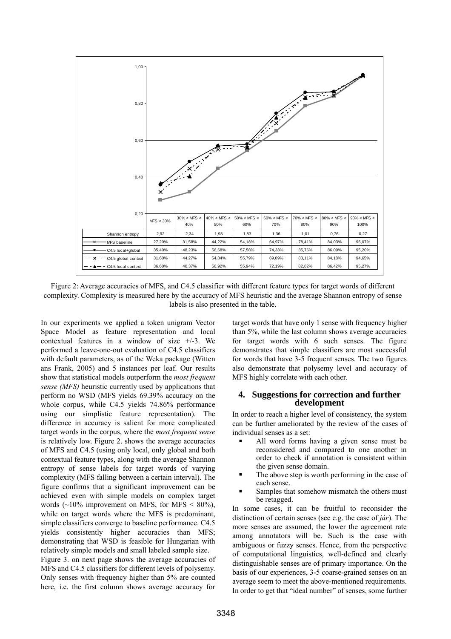

Figure 2: Average accuracies of MFS, and C4.5 classifier with different feature types for target words of different complexity. Complexity is measured here by the accuracy of MFS heuristic and the average Shannon entropy of sense labels is also presented in the table.

In our experiments we applied a token unigram Vector Space Model as feature representation and local contextual features in a window of size  $+/-3$ . We performed a leave-one-out evaluation of C4.5 classifiers with default parameters, as of the Weka package (Witten ans Frank, 2005) and 5 instances per leaf. Our results show that statistical models outperform the *most frequent sense (MFS)* heuristic currently used by applications that perform no WSD (MFS yields 69.39% accuracy on the whole corpus, while C4.5 yields 74.86% performance using our simplistic feature representation). The difference in accuracy is salient for more complicated target words in the corpus, where the *most frequent sense* is relatively low. Figure 2. shows the average accuracies of MFS and C4.5 (using only local, only global and both contextual feature types, along with the average Shannon entropy of sense labels for target words of varying complexity (MFS falling between a certain interval). The figure confirms that a significant improvement can be achieved even with simple models on complex target words  $(\sim]0\%$  improvement on MFS, for MFS < 80%), while on target words where the MFS is predominant, simple classifiers converge to baseline performance. C4.5 yields consistently higher accuracies than MFS; demonstrating that WSD is feasible for Hungarian with relatively simple models and small labeled sample size. Figure 3. on next page shows the average accuracies of MFS and C4.5 classifiers for different levels of polysemy. Only senses with frequency higher than 5% are counted here, i.e. the first column shows average accuracy for

target words that have only 1 sense with frequency higher than 5%, while the last column shows average accuracies for target words with 6 such senses. The figure demonstrates that simple classifiers are most successful for words that have 3-5 frequent senses. The two figures also demonstrate that polysemy level and accuracy of MFS highly correlate with each other.

## **4. Suggestions for correction and further development**

In order to reach a higher level of consistency, the system can be further ameliorated by the review of the cases of individual senses as a set:

- All word forms having a given sense must be reconsidered and compared to one another in order to check if annotation is consistent within the given sense domain.
- The above step is worth performing in the case of each sense.
- Samples that somehow mismatch the others must be retagged.

In some cases, it can be fruitful to reconsider the distinction of certain senses (see e.g. the case of *jár*). The more senses are assumed, the lower the agreement rate among annotators will be. Such is the case with ambiguous or fuzzy senses. Hence, from the perspective of computational linguistics, well-defined and clearly distinguishable senses are of primary importance. On the basis of our experiences, 3-5 coarse-grained senses on an average seem to meet the above-mentioned requirements. In order to get that "ideal number" of senses, some further